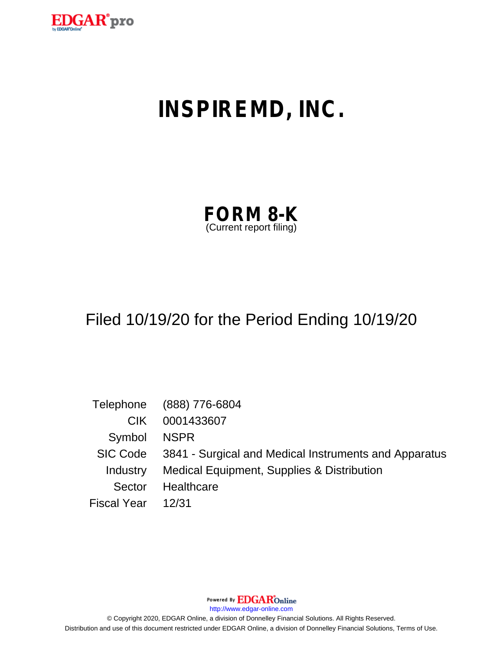

# **INSPIREMD, INC.**

| <b>FORM 8-K</b>         |  |
|-------------------------|--|
| (Current report filing) |  |

## Filed 10/19/20 for the Period Ending 10/19/20

|                    | Telephone (888) 776-6804                                       |
|--------------------|----------------------------------------------------------------|
| CIK.               | 0001433607                                                     |
| Symbol NSPR        |                                                                |
|                    | SIC Code 3841 - Surgical and Medical Instruments and Apparatus |
| Industry           | Medical Equipment, Supplies & Distribution                     |
| Sector             | Healthcare                                                     |
| Fiscal Year  12/31 |                                                                |

Powered By **EDGAR**Online

http://www.edgar-online.com

© Copyright 2020, EDGAR Online, a division of Donnelley Financial Solutions. All Rights Reserved. Distribution and use of this document restricted under EDGAR Online, a division of Donnelley Financial Solutions, Terms of Use.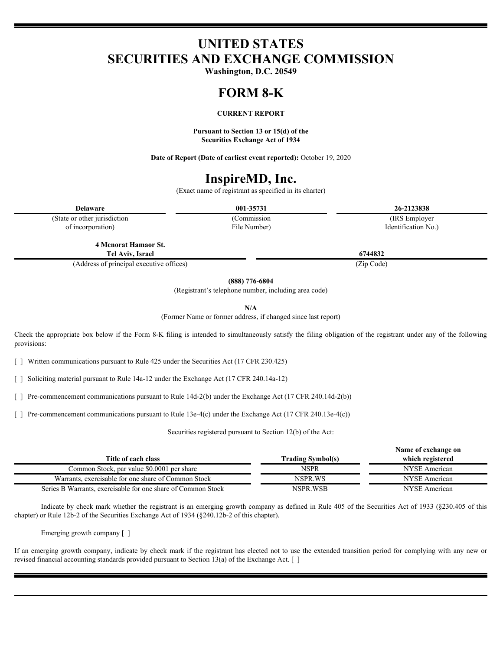## **UNITED STATES SECURITIES AND EXCHANGE COMMISSION**

**Washington, D.C. 20549**

#### **FORM 8-K**

#### **CURRENT REPORT**

**Pursuant to Section 13 or 15(d) of the Securities Exchange Act of 1934**

**Date of Report (Date of earliest event reported):** October 19, 2020

## **InspireMD, Inc.**

(Exact name of registrant as specified in its charter)

**Delaware 001-35731 26-2123838**

(State or other jurisdiction of incorporation)

File Number)

(Commission (IRS Employer Identification No.)

**4 Menorat Hamaor St. Tel Aviv, Israel 6744832**

(Address of principal executive offices) (Zip Code)

**(888) 776-6804**

(Registrant's telephone number, including area code)

**N/A**

(Former Name or former address, if changed since last report)

Check the appropriate box below if the Form 8-K filing is intended to simultaneously satisfy the filing obligation of the registrant under any of the following provisions:

[ ] Written communications pursuant to Rule 425 under the Securities Act (17 CFR 230.425)

[ ] Soliciting material pursuant to Rule 14a-12 under the Exchange Act (17 CFR 240.14a-12)

[ ] Pre-commencement communications pursuant to Rule 14d-2(b) under the Exchange Act (17 CFR 240.14d-2(b))

[ ] Pre-commencement communications pursuant to Rule 13e-4(c) under the Exchange Act (17 CFR 240.13e-4(c))

Securities registered pursuant to Section 12(b) of the Act:

|                                                              |                          | Name of exchange on |
|--------------------------------------------------------------|--------------------------|---------------------|
| Title of each class                                          | <b>Trading Symbol(s)</b> | which registered    |
| Common Stock, par value \$0.0001 per share                   | NSPR                     | NYSE American       |
| Warrants, exercisable for one share of Common Stock          | NSPR.WS                  | NYSE American       |
| Series B Warrants, exercisable for one share of Common Stock | NSPR.WSB                 | NYSE American       |
|                                                              |                          |                     |

Indicate by check mark whether the registrant is an emerging growth company as defined in Rule 405 of the Securities Act of 1933 (§230.405 of this chapter) or Rule 12b-2 of the Securities Exchange Act of 1934 (§240.12b-2 of this chapter).

Emerging growth company [ ]

If an emerging growth company, indicate by check mark if the registrant has elected not to use the extended transition period for complying with any new or revised financial accounting standards provided pursuant to Section 13(a) of the Exchange Act. [ ]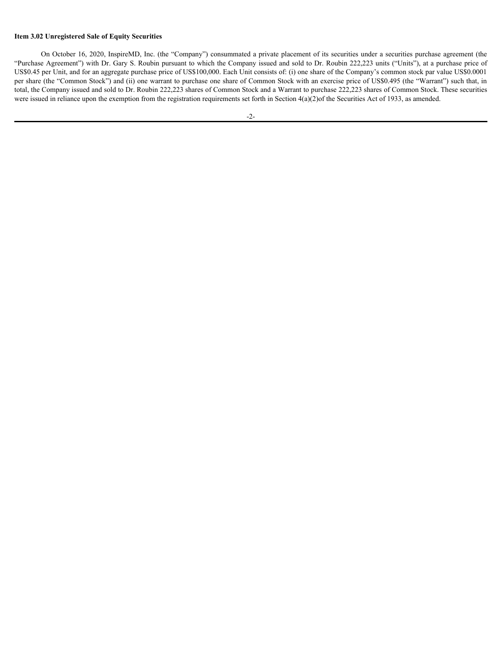#### **Item 3.02 Unregistered Sale of Equity Securities**

On October 16, 2020, InspireMD, Inc. (the "Company") consummated a private placement of its securities under a securities purchase agreement (the "Purchase Agreement") with Dr. Gary S. Roubin pursuant to which the Company issued and sold to Dr. Roubin 222,223 units ("Units"), at a purchase price of US\$0.45 per Unit, and for an aggregate purchase price of US\$100,000. Each Unit consists of: (i) one share of the Company's common stock par value US\$0.0001 per share (the "Common Stock") and (ii) one warrant to purchase one share of Common Stock with an exercise price of US\$0.495 (the "Warrant") such that, in total, the Company issued and sold to Dr. Roubin 222,223 shares of Common Stock and a Warrant to purchase 222,223 shares of Common Stock. These securities were issued in reliance upon the exemption from the registration requirements set forth in Section 4(a)(2)of the Securities Act of 1933, as amended.